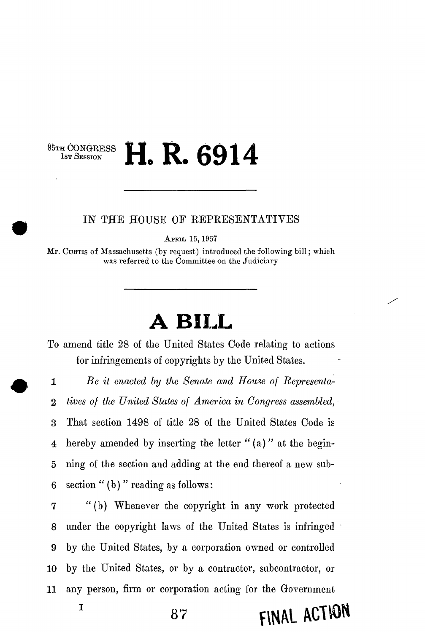## **85TH CONGRESS LID** *A* **A** 1st Session  $\Pi$ **. K. 0914**

## IN THE HOUSE OF REPRESENTATIVES

**APRIL 15,1957** 

**Mr. CURTIS of Massachusetts (by request) introduced the following bill; which was referred to the Committee on the Judiciary** 

## **A BILL**

To amend title 28 of the United States Code relating to actions for infringements of copyrights by the United States.

**1** *Be it enacted by the Senate and House of Representa-***2** *tives of the United States of America in Congress assembled, •*  3 That section 1498 of title 28 of the United States Code is 4 hereby amended by inserting the letter " (a) " at the begin-5 ning of the section and adding at the end thereof a new sub-6 section " $(b)$ " reading as follows:

**7** "(b) Whenever the copyright in any work protected 8 under the copyright laws of the United States is infringed 9 by the United States, by a corporation owned or controlled **10** by the United States, or by a contractor, subcontractor, or **11** any person, firm or corporation acting for the Government

**87 flNAL ACTION** 

I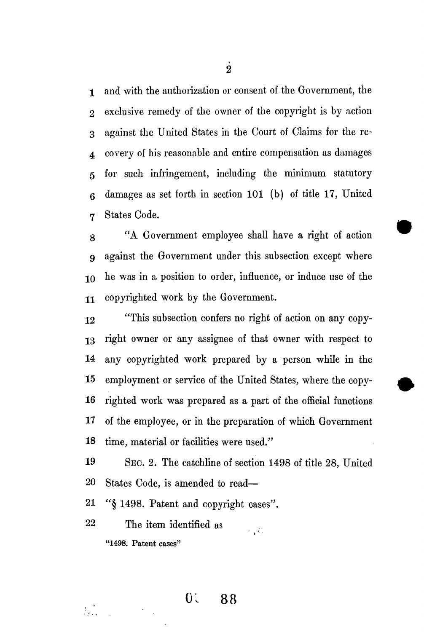and with the authorization or consent of the Government, the exclusive remedy of the owner of the copyright is by action 3 against the United States in the Court of Claims for the re- covery of his reasonable and entire compensation as damages 5 for such infringement, including the minimum statutory damages as set forth in section **101** (b) of title **17,** United States Code.

**g** "A Government employee shall have a right of action against the Government under this subsection except where he was in a position to order, influence, or induce use of the copyrighted work by the Government.

 "This subsection confers no right of action on any copy- right owner or any assignee of that owner with respect to any copyrighted work prepared by a person while in the employment or service of the United States, where the copy- righted work was prepared as a part of the official functions of the employee, or in the preparation of which Government 18 time, material or facilities were used."

 SEC**. 2.** The catchline of section **1498** of title **28,** United States Code, is amended to read—

**21 "§ 1498.** Patent and copyright cases".

 The item identified as  $\mathcal{L}_{\mathbf{p}}$  . **"1498. Patent cases"** 

 $\mathcal{L}_{\text{max}}$ 

 $0: 88$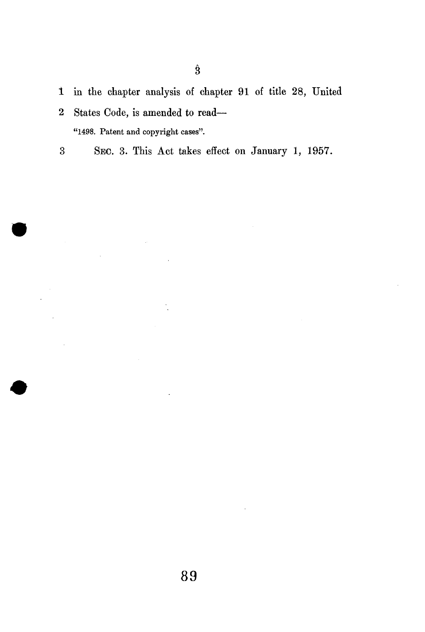- $\pmb{1}$ in the chapter analysis of chapter 91 of title 28, United
- $\bf{2}$ States Code, is amended to read— **"1498. Patent and copyright cases".**
- $\overline{3}$

SEC. 3. This Act takes effect on January 1, 1957.